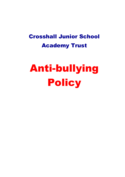## Crosshall Junior School Academy Trust

# Anti-bullying **Policy**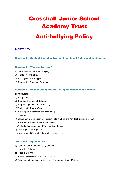## Crosshall Junior School Academy Trust Anti-bullying Policy

#### **Contents**

#### Section 1 Context including National and Local Policy and Legislation

#### Section 2 What is Bullying?

- a) Our Shared Beliefs about Bullying
- b) A Definition of Bullying
- c) Bullying Forms and Types
- d) Recognising Signs and Symptoms

#### Section 3 Implementing the Anti-Bullying Policy in our School

- a) Introduction
- b) Policy Aims
- c) Reporting Incidents of Bullying
- d) Responding to Incidents of Bullying
- e) Working with Parents/Carers
- f) Following Up, Supporting and Monitoring
- g) Prevention
- h) Delivering the Curriculum for Positive Relationships and Anti-Bullying in our School
- i) Children's Consultation and Participation
- j) Whole Staff Awareness and Training Opportunities
- k) Involving Outside Agencies
- l) Monitoring and Evaluating the Anti-Bullying Policy

#### Section 4 Appendices

- a) National Legislation and Policy Context
- b) Inspecting Schools
- c) Types of Bullying
- d) A Sample Bullying Incident Report Form
- e) Responding to Incidents of Bullying The Support Group Method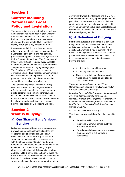## Section 1

## Context including National and Local Policy and Legislation

The profile of bullying and anti-bullying work locally and nationally has never been higher. Evidence from national and local research indicates that bullying is widespread and consultations with children and young people (CYP) repeatedly identify bullying as a key concern for them.

Protection from bullying and the right to attend education without fear is covered by a number of national legislative drivers and non statutory guidance (see appendix A National Legislative and Policy Context). In particular, The Education and Inspections Act (2006) requires every school to establish measures to encourage good behaviour and prevent all forms of bullying amongst pupils. The Equality Act (2010) requires schools to eliminate unlawful discrimination, harassment and victimisation in relation to pupils who share a protected characteristic and therefore may be vulnerable to prejudice driven bullying.

The Common Inspection Framework (2015) requires Ofsted to make a judgement on the effectiveness of leadership and management and pupils' personal development, behaviour and welfare. Under these two criteria inspections will evaluate the effectiveness of measures established by schools to address all forms and types of bullying (see appendix B Inspecting Schools).

## Section 2 What is bullying?

#### a) Our Shared Beliefs about **Bullying**

Bullying damages children's and young people's physical and mental health, including their selfconfidence and ability to build and sustain relationships. It can also destroy self-esteem sometimes with devastating consequences and with the effects lasting into adult life. Bullying undermines the ability to concentrate and learn and can impact on children's and young people's chances of achieving their full potential at school and later in life. Bullying causes harm to those who bully, those who are bullied and those who observe bullying. This school believes that all children and young people have the right to learn and work in an environment where they feel safe and that is free from harassment and bullying. The purpose of this policy is to communicate how the school aims to create a climate and school environment in which everyone agrees that bullying is unacceptable and is committed to tackling it to improve outcomes for children and young people.

## b) A Definition of Bullying

Bullying is a subjective experience that can take many forms. Various national and international definitions of bullying exist and most of these definitions have three things in common which reflect CYP's experience of bullying and evidence gained from extensive research in this area. The three common aspects in most definitions of bullying are that:

- It is deliberately hurtful behaviour
- It is usually repeated over time
- There is an imbalance of power, which makes it hard for those being bullied to defend themselves.

These factors are reflected in the DfE and Cambridgeshire Children's Families' and Adults' Services definitions of bullying:

*behaviour by an individual or group, often repeated over time, that intentionally harms another individual or group either physically or emotionally. It involves an imbalance of power, which makes it hard for those being bullied to defend themselves. Cambs CFA 2016*

At our school we define bullying as:

'Emotionally or physically harmful behaviour which is:

- Repetitive, willful or persistent
- Intentionally harmful, carried out by an individual or a group
- Based on an imbalance of power leaving the person who is bullied feeling defenceless.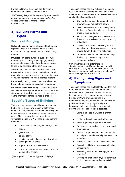For the children at our school the definition of someone who bullies is someone who:

*'Deliberately keeps on hurting you by what they do or say, someone who threatens you and makes you too frightened to tell the teacher'* (Child's voice).

## c) Bullying Forms and **Types**

#### Forms of Bullying

Bullying behaviour across all types of bullying can represent itself in a number of different forms. Children and young people can be bullied in ways that are:

**Physical** – by being punched, pushed or hurt; made to give up money or belongings; having property, clothes or belongings damaged; being forced to do something they don't want to do.

**Verbal** – by being teased in a nasty way; called gay (whether or not it's true); insulted about their race, religion or culture; called names in other ways or having offensive comments directed at them.

**Indirect** – by having nasty stories told about then; being left out, ignored or excluded from groups.

**Electronic / 'onlinebullying'** – via text message; via instant messenger services and social network sites; via email; and via images or videos posted on the internet or spread via mobile phones.

## Specific Types of Bullying

The school recognises that although anyone can be bullied for almost any reason or difference, some CYP may be more vulnerable to bullying than others. Research has identified various different types of bullying experienced by particular vulnerable groups of CYP. These include bullying related to:

- ethnic, cultural and religious backgrounds
- gender
- gender identity
- sexual identity
- special educational needs and disabilities
- being gifted or talented
- appearance or health conditions
- home circumstances e.g. young carers or looked–after children

(See appendix C Specific Types of Bullying)

The school recognises that bullying is a complex type of behaviour occurring between individuals and groups. Different roles within bullying situations can be identified and include:

- The ring-leader, who through their position of power can direct bullying activity
- Assistants/associates, who actively join in the bullying (sometimes because they are afraid of the ring-leader)
- Reinforcers, who give positive feedback to those who are bullying, perhaps by smiling or laughing
- Outsiders/bystanders, who stay back or stay silent and thereby appear to condone or collude with the bullying behaviour
- Defenders, who try and intervene to stop the bullying or comfort pupils who experience bullying.

Some CYP can adopt different roles simultaneously or at different times e.g. a bullied child might be bullying another child at the same time, or a 'reinforcer' might become a 'defender' when the ringleader is not around.

## d) Recognising Signs and Symptoms

The school recognises the fact that some CYP are more vulnerable to bullying than others and is sensitive to the changes of behaviour that may indicate that a child or young person is being bullied. CYP who are being bullied may demonstrate physical, emotional and behavioural problems. The following physical signs and behaviour could indicate other problems but bullying will be considered as a possibility:

- Being frightened of walking to or from school
- Losing self confidence and self-esteem
- Being frightened to say what's wrong
- Developing unexplained cuts, bruises and other injuries
- Unwilling to go to school, development of school phobia and unusual patterns of nonattendance
- Failing to achieve potential in school work
- Becoming withdrawn, nervous and losing concentration
- Becoming isolated and disengaged from other CYP
- Developing changes in physical behaviour such as stammering and nervous ticks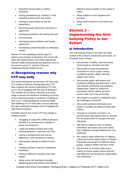- Regularly having books or clothes destroyed
- Having possessions go 'missing' or 'lost' including packed lunch and money
- Starting to steal money (to pay the perpetrator)
- Becoming easily distressed, disruptive or aggressive
- Developing problems with eating and food
- Running away
- Developing sleep problems and having nightmares
- Developing suicidal thoughts or attempting suicide.

Where CYP are exhibiting extreme signs of distress and changes in behaviour, the school will liaise with parents/carers and where appropriate, relevant health professionals and agencies such as the school nurse/G.P. and the Child and Adolescent Mental Health Service.

## e) Recognising reasons why CYP may bully

The school recognises the fact that CYP may bully for a variety of reasons. Recognising why CYP bully supports the school in identifying CYP who are at risk of engaging with this type of behaviour. This enables the school to intervene at an early stage to prevent the likelihood of bullying occurring and to respond promptly to incidents of bullying as they occur. Understanding the emotional health and wellbeing of CYP who bully is key to selecting the right responsive strategies and to engaging the right external support.

Possible reasons why some CYP may engage in bullying include:

- Struggling to cope with a difficult personal situation e.g. bereavement, changes in family circumstances
- Liking the feeling of power and using bullying behaviour to get their own way
- Having a temperament that may be aggressive, quick tempered or jealous
- Having been abused or bullied in some way
- Feeling frustrated, insecure, inadequate, humiliated
- Finding it difficult to socialise and make friends
- Being overly self orientated (possibly displaying good self esteem) and finding it

difficult to show empathy to the needs of others

- Being unable to resist negative peer pressure
- Being under pressure to succeed at all costs.

## Section 3 – Implementing the Antibullying Policy in our **School**

#### a) Introduction

This Anti-Bullying Policy is set within the wider context of the school's overall aims and values. At Crosshall Junior School:

- We promote a healthy, safe and caring environment for all pupils and staff
- We provide a broad and balanced curriculum for all our pupils, having considered gender, ability, ethnicity, religion and culture
- We promote pupils' self-esteem and emotional wellbeing and help them to form and maintain worthwhile and satisfying relationships, based on respect for themselves and for others, at home, school, work and in the community
- We prepare our pupils to confidently meet the challenges of adult life
- We provide sufficient information and support to enable our pupils to make safe choices
- Through an enriched curriculum, we provide pupils with opportunities to develop the necessary skills to manage their lives effectively
- We help our pupils to learn to respect themselves and others and move safely from childhood, through adolescence, into adulthood
- We create a wider awareness of religious, cultural and moral values within a Christian framework and respect for different ethnic groups, religious beliefs and ways of life
- We promote an inclusive ethos and a culture of mutual respect where diversity and difference are recognised, appreciated and celebrated.

Crosshall Junior School Trust Academy • Anti-bullying Policy • Created on (*4 th December 2017)* • Page 5 of 24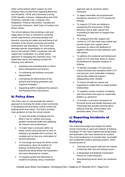Other school polices which support our Anti-Bullying Policy include those regarding Behaviour and Discipline, PSHE and Citizenship (coming 2018) Equality, Inclusion, Safeguarding and Child Protection, Intimate Care, Computer Use, Allegations, Physical Intervention, Equality and Community Cohesions, Staff Code of Conduct and British Values.

The school believes that providing a safe and happy place to learn is essential to achieving school improvement, promoting equality and diversity, ensuring the safety and well-being of all members of the school community and raising achievement and attendance. The school has allocated specific responsibility for anti-bullying work to the school's PSHE Coordinator who will support the coordination of a whole school approach to managing this important issue. This leadership role on anti-bullying includes the following core elements:

- Analysing and evaluating data to inform policy development and practice.
- Co-ordinating anti-bullying curriculum opportunities
- Overseeing the effectiveness of the school's anti-bullying prevention and response strategies
- Supporting staff to implement the school's Anti-Bullying Policy and practice.

## b) Policy Aims

This Policy aims to communicate the school's approach to involving the whole school community in developing and promoting a whole school antibullying ethos and culture. The Policy provides clear guidance on how the school intends:

- To raise the profile of bullying and the effect it has on children and young people's emotional health and wellbeing, life chances and achievement
- To make clear to everyone within our whole school community that no form of bullying is acceptable and to prevent, deescalate and /or stop any continuation of harmful behaviour
- To encourage and equip the whole school community to report all incidents of bullying, including those who have experienced being bullied and bystanders who have witnessed an incident
- To respond quickly and effectively to incidents of bullying using a restorative

approach and /or sanctions where necessary

- To apply reasonable and proportionate disciplinary sanctions to CYP causing the bullying
- To support CYP who are bullying in recognising the seriousness of their behaviour and to offer support and counselling to help them to readjust their behaviour
- To safeguard and offer support and comfort to CYP who have been bullied and provide longer term support where necessary to reduce the likelihood of negative effectives on their behaviour and self esteem.
- To address the emotional and behavioural needs of CYP who bully others to reduce the likelihood of repeated incidents of bullying
- To identify vulnerable CYP and those critical moments and transitions when CYP may become more vulnerable to bullying and provide additional support / safeguarding when needed
- To ensure all staff are trained and supported to enable them to model positive relationships
- To regularly monitor incidents of bullying and harassment and report to responsible bodies e.g. governors
- To provide a curriculum framework for Personal Social and Health Education and Citizenship that includes learning about bullying, diversity, discrimination and personal safety. (From 2018)

#### c) Reporting Incidents of Bullying

The school encourages and equips the whole school community to report all incidents of bullying, including CYP who have experienced being bullied and bystanders who have witnessed an incident. The school endeavours to provide clear, accessible and confidential incident reporting systems, which include access to:

- Teaching and support staff who are trained in listening skills and anti-bullying issues
- A designated Anti-Bullying Coordinator/ Person for Child Protection
- Worry/listening boxes which are monitored daily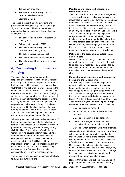- Trained peer mediators
- The school's Anti- Bullying Council (ABC/Anti- Bullying Surgery)
- Learning Mentors

The school's incident reporting systems and guidance on defining bullying and recognising the signs and symptoms of bullying in CYP are recorded and communicated to the whole school community via:

- The school's anti-bullying leaflet for CYP (coming 2018)
- School diaries (coming 2018)
- The school's anti-bullying leaflet for parents/carers (coming 2018)
- The school's prospectus/booklet
- The school's notice/information board
- The school's anti-bullying website (coming 2018)

## d) Responding to Incidents of Bullying

The school has an agreed procedure for responding consistently to incidents or allegations of bullying. Direct action to respond to incidents of bullying occurs within a context, which reminds all CYP that bullying behaviour is unacceptable to the school and will not be tolerated. At our school, all CYP are encouraged to report incidents of bullying whether they have been bullied or have witnessed bullying*.* In the first instance, the person to whom the bullying has been reported is responsible for responding to incidents of bullying. This should then be reported to the class teacher, who may in turn report it to the Head of Year, PSHE leader or SLT. The school will investigate the incident and decide on an appropriate course of action.

When responding to incidents involving any type of bullying the school will consider the situation in relation to the school's Child Protection Policy and procedures. Statutory guidance on safeguarding CYP identifies 'Emotional Abuse' as featuring 'serious bullying causing children frequently to feel frightened or in danger; or the exploitation or corruption of children'. In cases of severe or persistent bullying, staff will liaise with the Designated Person for Child Protection particularly where there are concerns that a child or young person may be suffering or likely to suffer significant harm in terms of emotional abuse.

The procedure and stages in responding effectively to bullying at our school are:

#### **Monitoring and recording behaviour and relationship issues**

The school follows a clear behaviour management system, which enables challenging behaviour and relationship problems to be identified, recorded and addressed. This process is part of the school's overall Behaviour Management Policy. It supports the detection of bullying and allows for intervention at an early stage. This system involves the school's ABCD behavior management logging system (stage forms), which are monitored by class teachers and the Deputy Heads. The school then uses the school's definition of bullying to assess situations as they arise and judge whether or not bullying has occurred or where a pattern of potential bullying behaviour may be developing.

#### **Making sure the person being bullied is safe and feels safe**

When a CYP reports being bullied, the school will acknowledge their concerns and the incident will be taken seriously. Incidents of bullying reported by witnesses are treated in the same manner and will always lead to a conversation with the targeted child.

#### **Establishing and recording what happened by listening to the targeted child**

After listening to the views and feelings of the targeted child and their account of what has happened to them, the school will record the incident appropriately using the stage forms in the ABCD behavioiur management system. Where bullying has been established as a pattern or trend, Section A of the Bullying Incident Report Form **(see Appendix D, Bullying Incident Report Form)** will be used to work with parents. Section A includes:

- Date, time incident reported
- Member of staff to whom the incident was reported
- Date, time, location of alleged incident
- Nature of the alleged incident from the perspective of the person being bullied
- Date, time when parents/carers were informed.

When an incident of bullying is reported the school will endeavour to make a written record of this incident within 24 hours of the incident occurring**.**  Written records are factual and where opinions are offered these will be based on factual evidence. Recording incidents helps to build a picture of behaviour patterns in school e.g. who, when, how, what action taken. It enables the school to manage individual cases effectively and monitor and evaluate the effectiveness of strategies.

Note: In Cambridgeshire, schools regularly report prejudice-related incidents to the local authority.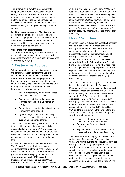This information allows the local authority to compare school trends with locality area and county trends and enables the local authority to monitor the occurrence of incidents and identify underlying trends in racist, homophobic and disability-related bullying so that appropriate and relevant training and support can be provided to schools.

**Deciding upon a response**. After listening to the account of the targeted child, the school will discuss an appropriate course of action with them. All incidents of bullying will be responded to seriously and the behaviour of those who have been bullying will be challenged.

**Consulting with parents/carers**

See **Section E Working with parents/carers** for the school's approach to informing and involving parents/carers where CYP have been involved with or affected by bullying.

### A Restorative Approach

Where appropriate, and in most cases of bullying, the school will initially consider the use of a Restorative Approach to resolve the situation. A Restorative Approach involves perpetrators of bullying, focusing on their unacceptable behaviour in an emotionally intelligent way and ensures CYP causing harm are held to account for their behaviour by enabling them to:

- Accept responsibility for the harm caused to the individual being bullied
- Accept responsibility for the harm caused to others (for example staff, friends or family)
- Recognise the need to take action to begin to repair the harm caused
- Agree a range of helpful actions to repair the harm caused, which will be monitored over an agreed period of time.

This school is currently using The Support Group Method*.* The school believes that all bullying is unacceptable but that many CYP who display anti social behaviour and lack empathy for others can be helped to understand the consequences of their actions and change their behaviour for the long term.

In situations where the school has decided to use The Support Group Method the school will complete Section C of the Bullying Incident Report Form and then refer to and follow the relevant guidance for record keeping for this particular strategy **(see Appendix E Responding to Incidents of Bullying: The Support Group Method)** rather then completing the other sections of the Bullying Incident Report Form. *(With many restorative approaches, such as the Support Group Method, it is inadvisable to interrogate and gather accounts from perpetrators and witnesses as this tends to inflame situations and is not conducive to establishing a restorative approach where perpetrators are more likely to come to terms with the harm they have caused, accept responsibility for their actions and feel compelled to change their behaviour).* 

#### Use of Sanctions

In certain cases of bullying, the school will consider the use of sanctions e.g. in cases of serious bullying such as where violence has been used or where a restorative approach has been unsuccessful in preventing further incidents of bullying. Sections A, B and C of the Bullying Incident Report Form will be completed **(see Appendix D Sample Bullying Incident Report Form)**. This will involve recording what happened by listening to the different perspectives of all those reportedly involved in the incident, including those of the bullied person, the person doing the bullying and those that have witnessed the bullying ('bystanders').

Sanctions will be applied fairly and proportionately in accordance with the school's Behaviour Management Policy, taking account of any special educational needs or disabilities that CYP may have and taking into consideration the needs of vulnerable CYP. Bullying by children with disabilities or SEN is no more acceptable than bullying by other children. However, for a sanction to be reasonable and lawful the school will take account of the nature of the CYP's disability or SEN and the extent to which they understand and are in control of what they are doing. Disciplinary sanctions are intended to:

- Impress on the perpetrator that what he/she has done is unacceptable
- Deter him/her from repeating that behaviour
- Signal to other CYP that the behaviour is unacceptable and deter them from doing it.

The consequences of bullying should reflect the seriousness of the incident. The school takes verbal and indirect bullying as seriously as physical bullying. When deciding upon appropriate sanctions for bullying the school will ensure that the sanctions address bullying behaviour in a way which does not lead to an escalation of the behaviour but instead supports a resolution to the problem. Like the school's restorative approach, sanctions for bullying are intended to hold CYP to

Crosshall Junior School Trust Academy • Anti-bullying Policy • Created on (*4 th December 2017)* • Page 8 of 24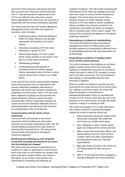account for their behaviour and ensure that they face up to the harm they have caused and learn from it. They also provide an opportunity for the CYP to put right the harm they have caused. Where appropriate the school may use sanctions in conjunction with the school's restorative approach.

The school will draw upon the school's Behaviour Management Policy and follow the system for sanctions, which includes:

- Involving the person doing the bullying to reflect on his/her behavior and develop appropriate 'fair sanctions' for his/her actions
- Removing/ separating CYP from other individuals or groups of CYP
- Removing/excluding CYP from certain whole school activities or key points in the day e.g. break times/ lunchtimes
- Withdrawing privileges
- Confiscating personal property in accordance with the school's agreed criteria, particularly where the item is being used to cause harm to others e.g. mobile phone

In the case of more serious and persistent bullying, where the perpetrator has not responded to the school's restorative strategies (see above) or sanctions, the school may consider excluding the perpetrator from the school. Some CYP who have been subjected to bullying can be provoked into violent behaviour. Where an attack has been provoked after months of persistent bullying, the school will view this behaviour differently from an unprovoked attack and will ensure that sanctions are proportionate to the circumstances.

#### **Communicating with the whole school community**

The school will communicate to the school community that the bullying has been taken seriously and has been responded to well. This will include talking to parents/carers (see section E Working With Parents/Carers). The timing of this communication will depend on the agreed responsive approach.

#### **Monitoring and following up with all parties concerned, including parents/carers to ensure that the bullying has stopped**

Part of the school's process of responding to an incident is to seek an agreement to meet at some point in the future to see whether the situation has been resolved or whether further work needs to take place. At our school, class teachers are responsible for monitoring and following up

incidents of bullying. This will include evaluating the effectiveness of the follow up strategies that have been put in place to ensure that the bullying has stopped. The school does not assume that a situation requires no further attention simply because a CYP has made no further complaints. Where a problem has not been resolved to the satisfaction of all parties the follow up strategies will be reviewed and/or further advice sought*.* The timing of this monitoring will depend on the agreed responsive approach.

#### **Responding to incidents of onlinebullying**

The school will follow the above procedures alongside the school's E-Safety policy which provides guidance on responding to different forms of onlinebullying and the safe and responsible use of technology.

#### **Responding to incidents of bullying which occur off the school premises.**

The school recognises that bullying can and does happen outside school and in the community. Bullying is a relationship issue and its occurrence reflects the ways in which CYP socialise in school and in the wider community. The school believes that bullying in unacceptable wherever and whenever it happens.

When an incident of bullying is reported and has occurred off the school site and out of school hours e.g. walking to and from school, the school will follow the guidance in the Behaviour Management/Discipline Policy on regulating the conduct of CYP at times when they are not on the premises of the school and/or not under the lawful control or charge of a member of staff.

The school encourages CYP to seek help and to tell us about incidents of bullying that happen outside the school so that the school can:

- Raise awareness among the whole school community of possible risks within the community e.g. trouble spots/ gang,
- Alert colleagues in other schools whose pupils are bullying off the school premises
- Make contact with local police officers and representatives from the Youth Service, Locality Teams and other organisations (including sports clubs and voluntary organisations)
- Map safe routes to school in the event of a CYP being bullied on their journey to school
- Offer CYP and parents/carers strategies to manage bullying off the school premises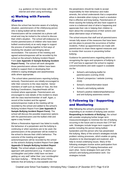e.g. guidance on how to keep safe on the internet and when using technology.

#### e) Working with Parents /Carers

Where the school has become aware of a bullying situation, parents/carers of the child/young person who is being bullied will be informed. Parents/carers will be contacted via a phone call/ email and may be invited to the school to discuss their child's situation. The school will endeavour to involve parents/carers of children who have been bullied constructively at an early stage to support the process of working together to find ways of resolving the situation and bringing about reconciliation. The outcome of the meeting and agreed actions/responses will be recorded by the school on the school's Bullying Incident Report Form **(see Appendix D Sample Bullying Incident Report Form)**. The school will work alongside those parents/carers whose children have been bullied to support them in developing their children's coping strategies and assertiveness skills where appropriate.

The school takes parents/carers reporting bullying seriously. Parents/carers are initially encouraged to refer their concerns to the class teacher. Senior members of staff such as Heads of Year, the Anti-Bullying Coordinators, Deputies/Heads will be involved where appropriate. Parents/carers are encouraged to note details of the incident to share with the class teacher/member of staff. Again, a record of the incident and the agreed actions/response made at the meeting will be recorded by the school and added to the school's Bullying Incident Report Form **(see Appendix D Sample Bullying Incident Report Form)**. The school will discuss the possible responsive options with the parents/carers and the bullied child and agree a way forward.

Where a Restorative Approach has failed to modify the behaviour of a perpetrator and the bullying is continuing or when sanctions are to be used, the parents/carers of the perpetrator will be invited to the school to discuss their child's behaviour. The outcome of the meeting and agreed actions/responses will be recorded by the school on the school's Bullying Incident Report Form **(see Appendix D Sample Bullying Incident Report Form)**. The school adopts a problem solving approach with parents/carers e.g. *'It seems your son/daughter and (other child) have not been getting on very well'* rather than '*your son/daughter has been bullying….*' While the school firmly believes that all bullying is unacceptable and that

the perpetrators should be made to accept responsibility for their behaviour and make amends, the school understands that a cooperative ethos is desirable when trying to reach a resolution that is effective and long lasting. Parents/carers of those causing the bullying will also have support to come to a balanced view of what is happening and appreciate their role in helping their children to learn about the consequences of their actions and adopt alternative ways of behaving.

The school ensures that staff and all parents/carers remain fully aware of the measures that have been put into place to prevent the occurrence of further incidents. Follow up appointments are made with parent/carers to share these agreed measures and to monitor their success in preventing further bullying.

Guidance for parents/carers regarding advice on recognising the signs and symptoms of bullying in CYP and how to approach the school to register concerns/incidents and seek support is available via the:

- School's anti-bullying leaflet for parents/carers (coming 2018)
- School's prospectus / website (coming 2018)
- School's notice/information board
- School's anti-bullying website
- School's positive relationships/behaviour and anti-bullying awareness events

## f) Following Up / Supporting and Monitoring

After following the school's procedures for responding to an incident of bullying (see section **Responding to Incidents of Bullying**), the school will consider employing further longer term measures/strategies to minimise the risk of bullying occurring in the future and to ensure that CYP feel safe. Strategies include longer-term support for all parties including the person being bullied, bystanders and the person who has perpetrated the bullying. Many of the school's strategies include problem solving processes, which enable on-going situations to be disentangled and explored, and help to reveal underlying issues. Many of the following strategies involve active participation from CYP and involve CYP helping themselves and each other. Some strategies form part of the school's anti-bullying preventative work. Our strategies include: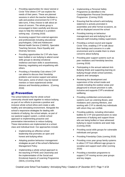- Providing opportunities for class/ tutorial or Circle Time where CYP can explore the needs of their peers. These are planned sessions in which the teacher facilitates a safe and positive environment for CYP to take turns, if they choose to talk about an issue of concern. The whole group is encouraged to listen carefully and discuss ways to help the individual in a problem solving way. (Coming 2018)
- Accessing support from external agencies and professionals including educational psychologists, Child and Adolescent Mental Health Service (CAMHS), Specialist Teaching Services, Race Equality and Diversity Services.
- Providing opportunities for CYP who have been bullied or are bullying to attend social skills groups to develop emotional resilience and learn skills in assertiveness, listening, negotiating and empathising with others.
- Providing a Friendship Club where CYP can attend to discuss their friendship problems and receive support and advice from peers, some of whom may be trained mentors or have experienced similar distress and friendship problems. (Coming 2018)

#### g) Prevention

The school believes that the whole school community should work together to reduce bullying as part of our efforts to promote a positive and inclusive whole school ethos and create a safe, healthy and stimulating environment. Alongside the school's responsive strategies for dealing with incidents of bullying, the school adopts, as part of our pastoral support system, a whole school approach to implementing proactive and preventative interventions to reduce bullying. These interventions are implemented at a school, class and individual level. Our approaches include:

- Implementing an effective school leadership that promotes an open and honest anti-bullying ethos
- Adopting positive behaviour management strategies as part of the school's Behaviour Management Policy
- Implementing a whole school approach to the teaching of PSHE and Citizenship and the implementation of the Social and Emotional Aspects of Learning Programme (SEAL) (Coming 2018)
- Implementing a Personal Safety Programme as identified in the Cambridgeshire Personal Development Programme (Coming 2018)
- Ensuring that the school's anti-bullying statement is actively promoted in assemblies and other formal occasions, as well as displayed around the school
- Providing training on behaviour management and anti-bullying for all relevant staff including midday supervisors
- Providing a school council and regular Circle Time, enabling CYP to talk about their feelings and concerns in a safe environment and to enable them to share concerns about bullying
- Providing peer support systems such as peer mediators and friendship benches (coming 2018)
- Participating in the annual national Anti-Bullying Week and supporting learning on bullying though whole school activities, projects and campaigns
- Reviewing the development and supervision of the school inside and outside including the outdoor areas and playground to ensure provision is safe, inclusive and supports CYP's emotional wellbeing.
- Providing confidential communication systems such as Listening Boxes, peer mediators and Learning Mentors, and working with CYP to identify key individuals with whom they can confide
- Providing publicity, including information leaflets for CYP and parents/carers to raise awareness of bullying and support those who are being bullied or have witnessed bullying to report incidents and seek help (Coming 2018)
- Providing social skills groups for vulnerable individuals and groups
- Providing Friendship Clubs (coming 2018)
- Providing cross year group family systems to allow CYP from different age groups to socialise and support each other (coming 2018)
- Providing a transition programme to support CYP moving across year groups and key stages.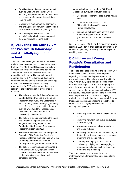- Providing information on support agencies such as ChildLine and Family Lives including telephone numbers for help lines and addresses for supportive websites (coming 2018)
- Liaising with members of the community and engaging in community initiatives and safer school partnerships (coming 2018)
- Working in partnership with other schools/local authority services on antibullying initiatives (coming 2018)

## h) Delivering the Curriculum for Positive Relationships and Anti-Bullying in our school

The school acknowledges the role of the PSHE and Citizenship curriculum in preventative work on bullying. The PSHE and Citizenship curriculum supports the development of CYP's self esteem and their emotional resilience and ability to empathise with others. The curriculum provides opportunities for CYP to learn and develop the skills they need to identify manage and challenge incidents of bullying as well as providing opportunities for CYP to learn about bullying in relation to the wider context of diversity and inclusion.

- The school adopts the Primary/Secondary Cambridgeshire Personal Development Programme for PSHE and Citizenship in which learning related to bullying, diversity and difference is covered within themes such as Myself and My Relationships, Citizenship and Healthy and Safer Lifestyles (coming 2018)
- The school is also implementing the Social and Emotional Aspects of Learning Programme (SEAL) as part of the Cambridgeshire Personal Development Programme (coming 2018)
- The school also uses the Cambridgeshire Education Child Protection Service's Personal Safety units of work as part of the Cambridgeshire Primary Personal Development Programme (coming 2018)
- The school recognises and participates in the national Anti-Bullying week, which provides an annual intensive focused week on the subject of recognising and combating bullying.

Work on bullying as part of the PSHE and Citizenship curriculum is taught through:

- Designated lessons/focused events/ health weeks
- Other curriculum areas such as Citizenship, Religious Education, Humanities, History
- Enrichment activities such as visits from the Life Education Centre, drama groups/Theatre in Education, outside agencies.

See the school's PSHE and Citizenship policy (coming 2018) for further detailed information on curriculum planning, teaching methodologies and teaching resources.

## i) Children and Young People's Consultation and Participation

The school considers listening to the voices of CYP and actively seeking their views and opinions regarding bullying as an important part of our preventative work. The school regularly audits the way in which bullying is being addressed which includes, listening to CYP and ensuring they are given the opportunity to speak out, and have their voices heard on their experiences of bullying. CYP are actively encouraged to participate in identifying both the problems and solutions to bullying; reviewing and developing the school's Anti-Bullying Policy and practice and engaging in initiatives to support an anti-bullying ethos in school. CYP actively participate in:

- Identifying when and where bullying could occur
- Identifying new forms of bullying e.g. types of onlinebullying
- Making decisions about how to address and tackle bullying
- Reviewing the development and delivery of the taught curriculum, focusing on aspects of bullying and discrimination
- Learning how to play an active role in challenging bullying such as engaging in peer support schemes such as buddying, mentoring and mediating.

The school adopts a number of democratic methods/systems for promoting pupil consultation including: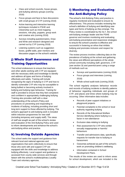- Class and school councils, house groups, anti-bullying advisory groups (coming 2018)
- Focus groups and face to face discussions with small groups of CYP (coming 2018)
- Active learning and interactive learning techniques included in PSHE and Citizenship such as mind mapping sessions, role play, puppets, group work and creative arts (coming 2018)
- Surveys including questionnaires, Draw and Write and research designed and carried out by CYP (coming 2018)
- Listening systems such as suggestion boxes, graffiti walls, peer mentors and discussion pages on the school's website

## j) Whole Staff Awareness and Training Opportunities

The school endeavours to ensure that teachers and other adults working with CYP are equipped with the necessary skills and knowledge to identify and address all types and forms of bullying effectively and safely. Training will include recognising the signs of bullying in CYP and how to identify vulnerable CYP who may be susceptible to being bullied or becoming actively involved in bullying and bullying type behaviour. Training for staff is provided to ensure that they feel competent and confident in appropriately challenging bullying. Training also provides staff with a clear understanding of the school's Policy and procedures on preventing and responding to incidents of bullying, including providing short and long term support to those affected by bullying. The school's approach to anti-bullying work is included within induction programmes for new staff (including temporary and supply staff). The views of staff are sought as part of the school's review and evaluation of the Anti Bullying Policy and used to inform developments and enhance the school's anti-bullying ethos and practice.

### k) Involving Outside Agencies

The school seeks the support and guidance from relevant local and national agencies and organisations that work collectively to ensure that those who work with and support CYP are equipped with the skills and knowledge to address bullying effectively. Local support and guidance is accessed from county wide services and through liaison with the school's multidisciplinary Locality Team and voluntary agencies.

## l) Monitoring and Evaluating the Anti-Bullying Policy

The school's Anti-Bullying Policy and practice is regularly monitored and evaluated to ensure its effectiveness. This process includes reviewing the school's definition of bullying and identifying new types and forms of bullying as they emerge. The Policy review is coordinated by the SLT, the school anti-bullying strategic leader and the PSHE governor and involves monitoring and evaluating anti-bullying preventative and responsive strategies to ensure the school's practice is effective and successful in fostering an ethos that inhibits bullying and promotes inclusion and respect for diversity.

The review process involves collecting data on the prevalence of bullying at the school and gathering the views and different perceptions of the whole school community including staff, governors, CYP (see section 3i) and parents/carers using a range of methods such as:

- Surveys and questionnaires (coming 2018)
- Focus groups and interviews (coming 2018)
- Whole school audit tools (coming 2018)

The school regularly analyses behaviour records and records of bullying incidents to identify patterns of behaviour regarding individuals and groups of CYP, and places and times where bullying may be occurring. Other informative data includes:

- Records of peer support initiatives or playground projects
- Parental complaints to the school or local authority regarding bullying
- Records of the Educational Welfare Service identifying where bullying is a factor in non-attendance
- Exclusion data relating to bullying
- Risk assessment for CYP who exhibit sexually inappropriate or harmful behaviours
- Transfer and admissions data, specifically requests for transfer due to bullying or harassment
- Outcomes achieved as part of the school's work on promoting children's wellbeing
- Information contained in School Development Plans.

The results of the review are used to inform areas for school development, which are included in the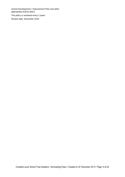School Development / Improvement Plan and other appropriate actions plans.

The policy is reviewed every 2 years Review date: December 2019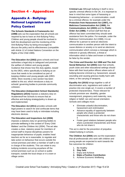## Section 4 – Appendices

## Appendix A - Bullying: National Legislative and Policy Context

#### **The Schools Standards & Frameworks Act**

**(1998)** sets out the expectation that all schools are required by law to have an Anti-Bullying Policy. Children and young people should be involved in both the development and the monitoring of the Anti-Bullying Policy by being encouraged to discuss the policy and its effectiveness (compatible with Article 12 of United Nations Convention on the Rights of the Child 1989).

**The Education Act (2002)** gives schools and local authorities a legal duty to safeguard and promote the welfare of children and young people. Guidance that shows how this duty applies, issued by the DfES, refers specifically to bullying as an issue that needs to be considered as part of keeping children and young people safe (DfES 2004). More recently a new section has been added to this act, which introduces a duty on schools' governing bodies to promote community cohesion.

**The Education (Independent School Standards) Regulations (2014)** imposes a statutory duty on Academies/Free Schools to ensure that an effective anti-bullying strategy/policy is drawn up and implemented.

**The Education Act (2011)** provides schools with legal powers to search for and confiscate items that may have been used to bully or intimidate including electronic devices.

**The Education and Inspections Act (2006)**  imposes a statutory duty on governing bodies to promote wellbeing in the context of 'Every Child Matters' and the Children Act (2004). The act also creates a clear, statutory power for members of school staff to impose disciplinary powers for inappropriate behaviour of pupils; enables head teachers as far as is reasonable, to regulate and take action on behaviour that occurs outside the school premises and when a member of staff is not in charge of the students. This can relate to any bullying incidents occurring anywhere off the school premises such as on school or public transport, outside the local shops or in a town or village centre.

**Criminal Law** Although bullying in itself is not a specific criminal offence in the UK, it is important to bear in mind that some types of harassing or threatening behaviour – or communication- could be a criminal offence, for example under the **Protection from Harassment Act (1997),** the **Malicious Communication Act (1988),** the **Communications Act (2003)** and the **Public Order Act (1986).** If school staff feel that an offence has been committed they should seek assistance form the police. For example, under the Malicious Communication Act (1988), it is an offence for a person to send an electronic communication to another person with the intent to cause distress or anxiety or to send an electronic communication which conveys a message which is indecent or grossly offensive, a threat or information which is false and known or believed to be false by the sender.

**The Crime and Disorder Act 1998 and The Anti Social Behaviour Act (2003)** state that schools, youth clubs and other educational settings should liaise with their local police officers where acts of bullying become criminal e.g. harassment, assault, wounding and causing grievous bodily harm with intent, or the carrying of weapons.

**Equality Act (2010)** brings together a raft of discrimination acts, regulations and codes of practice into one single act. It covers a number of protected characteristics. Those relevant for schools provision are: disability, gender reassignment, pregnancy and maternity, race, religion or belief, sex and sexual orientation. Schools and colleges must:

- Eliminate unlawful discrimination, harassment and victimisation
- Advance equality of opportunity between people who share a protected characteristic and those who do not share it
- Foster good relations between people who share a protected characteristic and those who do not share it.

This act is vital for the prevention of prejudicerelated bullying in schools.

**The Children Act (2004)** sets out the expectation that all professionals who work with children and young people are expected to work towards the five outcomes for children:

- 1. Be Healthy
- **2. Stay Safe**
- 3. Enjoy and Achieve
- **4. Make a Positive Contribution**
- 5. Achieve Economic Wellbeing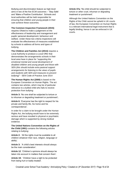Bullying and discrimination feature as high-level aims in two of the five ECM outcomes – 'Stay Safe' and 'Make a Positive Contribution'. Schools and local authorities will be held responsible for ensuring that children and young people in their care achieve these outcomes.

**The Common Inspection Framework (2015)**

requires Ofsted to make a judgement on the effectiveness of leadership and management and pupils' personal development, behaviour and welfare. Under these two criteria inspections will evaluate the effectiveness of measures established by schools to address all forms and types of bullying.

**The Children and Families Act (2014)** requires a Local Authority to produce a Local Offer that demonstrates the arrangements schools in their local area have in place for *"supporting the emotional mental and social development of disabled children and young people and those with SEN (this should include extra pastoral support arrangements for listening to the views of pupils and students with SEN and measures to prevent bullying)"* - SEN Code of Practice June 2014

**The Human Rights Act (2000)** is based on the European Convention on Human Rights. The act contains two articles, which may be of particular relevance to a bullied child who fails to receive protection from bullying:

**Article 3:** 'No one shall be subjected to torture or to inhuman or degrading treatment or punishment'**.**

**Article 6:** 'Everyone has the right to respect for his private and family life, his home and his correspondence'.

In order for a claim to be brought under the Human Rights Act, the bullying would have to be extremely serious and have resulted in physical or psychiatric damage which is supported by strong medical evidence.

**The United Nations Convention on the Rights of the Child (1991)** contains the following articles relating to bullying:

**Article 2:** 'All the rights must be available to all children whatever their race, religion, language or ability'.

**Article 3:** 'A child's best interests should always be the main consideration'.

**Article 12**: 'Children's opinions should always be taken into account in matters that concern them'.

**Article 19:** 'Children have a right to be protected from being hurt or badly treated'.

**Article 37a:** 'No child should be subjected to torture or other cruel, inhuman or degrading treatment or punishment'.

Although the United Nations Convention on the Rights of the Child cannot be upheld in UK courts of law, the European Convention on Human Rights is a relevant international legal instrument that is legally binding; hence it can be enforced in UK courts.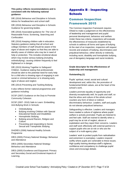#### **This policy reflects recommendations and is consistent with the following national guidance:**

DfE (2016) Behaviour and Discipline in Schools: Advice for headteachers and school staff.

DfE (2016) Behaviour and Discipline in Schools: Guidance for governing bodies.

DfE (2016) Associated guidance for: The Use of Reasonable Force; Screening, Searching and Confiscation.

DfE (2016) Keeping children safe in education. Statutory guidance stating that all school and college members of staff should be aware of the signs of abuse and neglect so that they are able to identify cases of children who may be in need of help or protection. This includes emotional abuse which may involve serious bullying (including onlinebullying), causing children frequently to feel frightened or in danger.

DfE (2015) Working Together to Safeguard Children. Guidance stating that professionals should be alert to the potential need for early help for a child who is showing signs of engaging in antisocial or criminal behaviour or is showing early signs of abuse and neglect.

DfE (2014) Preventing and Tackling Bullying.

It also reflects former national programmes and guidance including:

DCSF (2007) Guidance on the Duty to Promote Community Cohesion

DCSF (2007- 2010) Safe to Learn: Embedding Anti-Bullying Work in Schools:

- **Onlinebullying**
- Bullying involving Children with Special Educational Needs and Disabilities
- Homophobic Bullying
- Bullying around Racism, Religion and **Culture**
- Preventing and responding to Sexist, Sexual and Transphobic Bullying.

DH/DfES (2006) National Healthy Schools Programme

DfES (2005) Primary National Strategy: Behaviour and Attendance

DfES (2005) Secondary National Strategy: Behaviour and Attendance

DfES (2005) Excellence and Enjoyment: Primary and Secondary Social and Emotional Aspects of Learning.

## Appendix B - Inspecting **Schools**

#### Common Inspection Framework 2015

The Common Inspection Framework requires Ofsted to make a judgement on the effectiveness of leadership and management and pupils' personal development, behaviour and welfare. Under these two criteria, inspections will evaluate the effectiveness of measures established by schools to address all forms and types of bullying. At the start of an inspection, inspectors will request records and analysis of bullying, discriminatory and prejudicial behaviour, either directly or indirectly, including racist, disability and homophobic bullying, use of derogatory language and racist incidents.

#### **Grade descriptor for the effectiveness of leadership and management**

#### **Outstanding (1)**

Pupils' spiritual, moral, social and cultural development and, within this, the promotion of fundamental British values, are at the heart of the school's work.

Leaders promote equality of opportunity and diversity exceptionally well, for pupils and staff, so that the ethos and culture of the whole school counters any form of direct or indirect discriminatory behaviour. Leaders, staff and pupils do not tolerate prejudiced behaviour.

Safeguarding is effective. Leaders and managers have created a culture of vigilance where pupils' welfare is actively promoted. Pupils are listened to and feel safe. Staff are trained to identify when a pupil may be at risk of neglect, abuse or exploitation and they report their concerns. Leaders and staff work effectively with external partners to support pupils who are at risk or who are the subject of a multi-agency plan.

Leaders' work to protect pupils from radicalisation and extremism is exemplary. Leaders respond swiftly where pupils are vulnerable to these issues. High quality training develops staff's vigilance, confidence and competency to challenge pupils' views and encourage debate.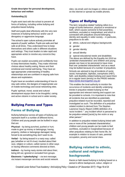#### **Grade descriptor for personal development, behaviour and welfare**

sites; via email; and via images or videos posted on the internet or spread via mobile phones.

#### **Outstanding (1)**

Pupils work hard with the school to prevent all forms of bullying, including online bullying and prejudice-based bullying.

Staff and pupils deal effectively with the very rare instances of bullying behaviour and/or use of derogatory or aggressive language.

The school's open culture actively promotes all aspects of pupils' welfare. Pupils are safe and feel safe at all times. They understand how to keep themselves and others safe in different situations and settings. They trust leaders to take rapid and appropriate action to resolve any concerns they have.

Pupils can explain accurately and confidently how to keep themselves healthy. They make informed choices about healthy eating, fitness and their emotional and mental well-being. They have an age-appropriate understanding of healthy relationships and are confident in staying safe from abuse and exploitation.

Pupils have an excellent understanding of how to stay safe online, the dangers of inappropriate use of mobile technology and social networking sites.

Pupils' spiritual, moral, social and cultural development equips them to be thoughtful, caring and active citizens in school and in wider society.

#### Bullying Forms and Types

#### Forms of Bullying

Bullying behaviour across all types of bullying can represent itself in a number of different forms. Children and young people can be bullied in ways that are:

**Physical** – by being punched, pushed or hurt; made to give up money or belongings; having property, clothes or belongings damaged; being forced to do something they don't want to do.

**Verbal** – by being teased in a nasty way; called gay (whether or not it's true); insulted about their race, religion or culture; called names in other ways or having offensive comments directed at them.

**Indirect** – by having nasty stories told about then; being left out, ignored or excluded from groups.

**Electronic / 'cyberbullying'** – via text message; via instant messenger services and social network

#### Types of Bullying

The term 'prejudice-related' bullying refers to a range of hurtful behaviour, physical or emotional or both, which causes someone to feel powerless, worthless, excluded or marginalised, and which is connected with prejudices around belonging, identity and equality in wider society – in particular, prejudices to do with:

- $\Box$  ethnic, cultural and religious backgrounds
- $\Box$  gender
- $\Box$  gender identity
- $\Box$  sexual identity

 $\Box$  special educational needs and disabilities The above are defined by the Equality Act 2010 as 'protected characteristics' and children and young people can have or be perceived to have more than one 'protected characteristic' and as a result may be bullied because of a number of prejudices.

Schools are advised to log all incidents of racist, sexist, homophobic, biphobic, transphobic (HBT), faith- and disability-related bullying and report them on a regular basis (termly) on the PRIDE website: <https://pride.learntogether.org.uk/>

This enables the local authority to monitor the occurrence of incidents and identify underlying trends in prejudice-related bullying so that appropriate and relevant training and support can be provided to schools. It is important to note that all incidents that are identified as potentially prejudice-related must be recorded, reported and investigated as such. The definition of a prejudicerelated incident is derived from The Stephen Lawrence Inquiry Report (1999) definition of a racist incident: ". any incident which is perceived to be prejudice-related [racist] by the victim or any other person."

In addition to prejudice-related bullying linked with one or more of the 'protected characteristics', children and young people can be made to feel worthless, excluded or marginalised because of other prejudices relating to their home life, for example in relation to issues of care, parental occupation, poverty and social class.

## Bullying related to ethnic, cultural and religious backgrounds

Racist or faith-based bullying is bullying based on a person's ethnic background, colour, religion or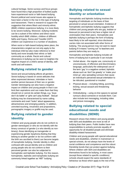cultural heritage. Some surveys and focus groups have found that a high proportion of bullied pupils have experienced racist or faith-based bullying. Recent political and social issues also appear to have been a factor in the rise in this type of bullying and harassment. There is research to support the suggestion that where Black and minority ethnic (BME) children experience bullying, it is more likely to be severe bullying. Moreover, bullying incidents can be a subset of the indirect and direct racist hostility which BME children, children of different faiths and Gypsy, Roma and Traveller (GRT) children can experience in a number of situations.

When racist or faith-based bullying takes place, the characteristics singled out not only apply to the individual child but also make reference to their family and more broadly their ethnic or faith community as a whole. Racist and cultural dimensions in bullying can be seen to heighten the negative impact on a child's sense of identity, selfworth and self-esteem.

#### Bullying related to gender

Sexist and sexual bullying affects all genders. Sexist bullying is based on sexist attitudes that when expressed demean, intimidate or harm another person because of their sex or gender. Gender stereotyping can also have a negative impact on children and young people in that it can limit their aspirations and can make them feel they should not or cannot do certain things, e.g. 'boys don't do ballet' or 'girls can't play football'. Sexual bullying may be characterised by name calling, comments and overt "looks" about appearance, attractiveness and emerging puberty. In addition, uninvited touching, innuendos and propositions, pornographic imagery or graffiti may be used.

### Bullying related to gender identity

Children and young people who do not conform to gender stereotypes or who do not identify with the binary construct of gender (i.e who identify as nonbinary), those identifying as transgender or experiencing gender dysphoria (feeling that they belong to another gender or do not conform with the birth sex ascribed to them) can become targets of transphobic bullying. Gender identity is often confused with sexual identity and so children and young people who do not conform to their perceived gender can also be subjected to homophobic and biphobic bullying. For this reason, homophobic, biphobic and transphobic bullying are commonly linked together as 'HBT' bullying.

## Bullying related to sexual identity or orientation

Homophobic and biphobic bullying involves the targeting of individuals on the basis of their perceived or actual sexual orientation. Evidence of homophobic and biphobic bullying suggests that children and young people who are gay, lesbian or bisexual (or perceived to be) face a higher risk of victimisation than their peers. Homophobic and biphobic bullying is perhaps the form of bullying least likely to be self-reported, since disclosure carries risks not associated with other forms of bullying. The young person may not want to report bullying if it means "coming out" to teachers and parents before they are ready to.

Homophobic and biphobic bullying includes all forms of bullying but in particular it can include:

- Verbal abuse the regular use, consciously or unconsciously, of offensive and discriminatory language, particularly the widespread use of the term 'gay' in a negative context; biphobic abuse such as 'don't be greedy' or 'make your mind up'; also spreading rumours that cause an individual's perceived sexual orientation to be ridiculed, questioned or insulted
- Physical abuse including hitting, punching, kicking, sexual assault and threatening behavior
- Onlinebullying using on-line spaces to spread rumours about someone or exclude them. Can also include text messaging, including video and picture messaging.

#### Bullying related to special educational needs and disabilities (SEND)

Research shows that children and young people with SEN and disabilities are more at risk of bullying than their peers. Public bodies have new responsibilities to actively promote equality of opportunity for all disabled people and eliminate disability-related harassment.

Children and young people with special educational needs and disabilities, whether in mainstream or special schools, do not always have the levels of social confidence and competence and the robust friendship bonds that can protect against bullying. Where children with SEN and disabilities are themselves found to be bullying, in most cases (except those related to specific conditions) schools should expect the same standards of behaviour as those which apply to the rest of the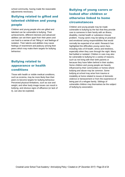school community, having made the reasonable adjustments necessary.

## Bullying related to gifted and talented children and young people

Children and young people who are gifted and talented can be vulnerable to bullying. Their achievements, different interests and advanced abilities can set them apart from their peers and can lead to a sense of not 'fitting in' and feelings of isolation. Their talents and abilities may cause feelings of resentment and jealousy among their peers which may make them targets for bullying behaviour.

## Bullying related to appearance or health conditions

Those with health or visible medical conditions, such as eczema, may be more likely than their peers to become targets for bullying behaviour. Perceived physical limitations, such as size and weight, and other body image issues can result in bullying, and obvious signs of affluence (or lack of it), can also be exploited.

### Bullying of young carers or looked after children or otherwise linked to home circumstances

Children and young people may be made vulnerable to bullying by the fact that they provide care to someone in their family with an illness, disability, mental health or substance misuse problem. Young carers may be taking on practical and emotional caring responsibilities that would normally be expected of an adult. Research has highlighted the difficulties young carers face, including risks of ill-health, stress and tiredness, especially when they care through the night. Many feel bullied or isolated. Children in care may also be vulnerable to bullying for a variety of reasons, such as not living with their birth parents or because they have fallen behind in their studies. Some children and young people are heavily influenced by their communities or homes where bullying and abuse may be common. Some bullying at school may arise from trauma or instability at home related to issues of domestic violence or bereavement or from the experience of being part of a refugee family. Siblings of vulnerable children may themselves be the subject of bullying by association.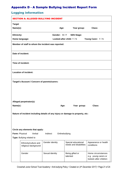## Appendix D - A Sample Bullying Incident Report Form

## Logging information

| <b>SECTION A: ALLEGED BULLYING INCIDENT</b>                                                                                               |                                               |                                 |                                              |  |  |  |  |
|-------------------------------------------------------------------------------------------------------------------------------------------|-----------------------------------------------|---------------------------------|----------------------------------------------|--|--|--|--|
| <b>Target</b>                                                                                                                             |                                               |                                 |                                              |  |  |  |  |
| Name(s):                                                                                                                                  | Age:                                          | Year group:                     | Class:                                       |  |  |  |  |
| <b>Ethnicity:</b>                                                                                                                         | Gender: M/F                                   | <b>SEN Stage:</b>               |                                              |  |  |  |  |
| Home language:                                                                                                                            | Looked-after child: Y / N                     |                                 | Young Carer: Y/N                             |  |  |  |  |
| Member of staff to whom the incident was reported:                                                                                        |                                               |                                 |                                              |  |  |  |  |
| Date of incident:                                                                                                                         |                                               |                                 |                                              |  |  |  |  |
| Time of incident:                                                                                                                         |                                               |                                 |                                              |  |  |  |  |
| <b>Location of incident:</b>                                                                                                              |                                               |                                 |                                              |  |  |  |  |
| Target's Account / Concern of parents/carers:                                                                                             |                                               |                                 |                                              |  |  |  |  |
|                                                                                                                                           |                                               |                                 |                                              |  |  |  |  |
|                                                                                                                                           |                                               |                                 |                                              |  |  |  |  |
|                                                                                                                                           |                                               |                                 |                                              |  |  |  |  |
| Alleged perpetrator(s):                                                                                                                   |                                               |                                 |                                              |  |  |  |  |
| Name(s):                                                                                                                                  | Age:                                          | Year group:                     | Class:                                       |  |  |  |  |
| Nature of incident including details of any injury or damage to property, etc:                                                            |                                               |                                 |                                              |  |  |  |  |
|                                                                                                                                           |                                               |                                 |                                              |  |  |  |  |
|                                                                                                                                           |                                               |                                 |                                              |  |  |  |  |
|                                                                                                                                           |                                               |                                 |                                              |  |  |  |  |
|                                                                                                                                           |                                               |                                 |                                              |  |  |  |  |
|                                                                                                                                           |                                               |                                 |                                              |  |  |  |  |
|                                                                                                                                           |                                               |                                 |                                              |  |  |  |  |
|                                                                                                                                           |                                               | needs and disabilities          | conditions                                   |  |  |  |  |
|                                                                                                                                           |                                               |                                 |                                              |  |  |  |  |
| Gender                                                                                                                                    | Sexual identity                               | Being gifted or                 | Home circumstances                           |  |  |  |  |
|                                                                                                                                           |                                               |                                 | looked-after children                        |  |  |  |  |
| Circle any elements that apply:<br>Form: Physical<br>Verbal<br>Type: Bullying related to<br>Ethnicity/culture and<br>religious background | Indirect<br>Onlinebullying<br>Gender identity | Special educational<br>talented | Appearance or health<br>e.g. young carers or |  |  |  |  |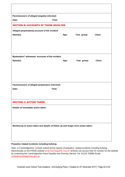| Parents/carers of alleged target(s) informed:                                     |       |      |             |        |  |  |
|-----------------------------------------------------------------------------------|-------|------|-------------|--------|--|--|
| Date:                                                                             | Time: |      |             |        |  |  |
| <b>SECTION B: ACCOUNTS OF THOSE INVOLVED</b>                                      |       |      |             |        |  |  |
| Alleged perpetrator(s) account of the incident                                    |       |      |             |        |  |  |
| Name(s):                                                                          |       | Age: | Year group: | Class: |  |  |
|                                                                                   |       |      |             |        |  |  |
|                                                                                   |       |      |             |        |  |  |
|                                                                                   |       |      |             |        |  |  |
| Bystanders'/ witnesses' accounts of the incident                                  |       |      |             |        |  |  |
| Name(s):                                                                          |       | Age: | Year group: | Class: |  |  |
|                                                                                   |       |      |             |        |  |  |
|                                                                                   |       |      |             |        |  |  |
|                                                                                   |       |      |             |        |  |  |
|                                                                                   |       |      |             |        |  |  |
| Parents/carers of alleged perpetrators informed:                                  |       |      |             |        |  |  |
| Date:                                                                             | Time: |      |             |        |  |  |
|                                                                                   |       |      |             |        |  |  |
| <b>SECTION C: ACTION TAKEN</b>                                                    |       |      |             |        |  |  |
| Details of immediate action taken:                                                |       |      |             |        |  |  |
|                                                                                   |       |      |             |        |  |  |
|                                                                                   |       |      |             |        |  |  |
|                                                                                   |       |      |             |        |  |  |
| Monitoring of action taken and details of follow up and longer term action taken: |       |      |             |        |  |  |
|                                                                                   |       |      |             |        |  |  |
|                                                                                   |       |      |             |        |  |  |

٦

 $\overline{1}$ 

Note: In Cambridgeshire, schools submit termly reports of prejudice- related incidents including bullying electronically on the PRIDE website [pride.learntogether.org.uk/](https://pride.learntogether.org.uk/) Schools can access their ID number for the website by contacting the Cambridgeshire Race Equality and Diversity Service Tel: 01223 703882 Email [creds@cambridgeshire.gov.uk](mailto:creds@cambridgeshire.gov.uk)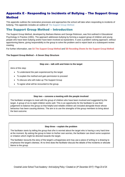## Appendix E - Responding to Incidents of Bullying – The Support Group Method

This appendix outlines the restorative processes and approaches the school will take when responding to incidents of bullying. This appendix includes an outline of *The Support Group Method.* 

#### The Support Group Method – Introduction

The Support Group Method, developed by Barbara Maines and George Robinson, was first outlined in Educational Psychology in Practice (1991). The approach addresses bullying by forming a support group of children and young people who have been bullying and/or have been involved as bystanders. It uses a problem-solving approach, without apportioning blame, giving responsibility to the group to solve the problem and to report back at a subsequent review meeting.

For further information, see [5A The Support Group Method](https://drive.google.com/open?id=0B8aya-vDwpehdGk3OXNpTTF5QnM) and [5B Recording Sheets for the Support Group Method](https://drive.google.com/open?id=0B8aya-vDwpehYUNLSWNGLWdHYVk)

#### **The Support Group Method – A Seven Step Structure**

#### **Step one – talk with and listen to the target**

Aims of this step:

- To understand the pain experienced by the target
- To explain the method and gain permission to proceed
- To discuss who will make up The Support Group
- To agree what will be recounted to the group.

#### **Step two – convene a meeting with the people involved**

The facilitator arranges to meet with the group of children who have been involved and suggested by the target. A group of six to eight children works well. This is an opportunity for the facilitator to use their judgement to balance the group so that helpful and reliable children are included alongside those whose behaviour has been causing distress. The aim is to use the strengths of the group members to bring about the best outcome.

#### **Step three – explain the problem**

The facilitator starts by telling the group that s/he is worried about the target who is having a very hard time at the moment. By asking the group to listen to his/her own worries, the facilitator can divert some suspicion or irritation which might be directed towards the target.

The facilitator recounts the story of the target's unhappiness and may use a piece of writing or a drawing to emphasise the target's distress. At no time does the facilitator discuss the details of the incidents or allocate blame to the group.